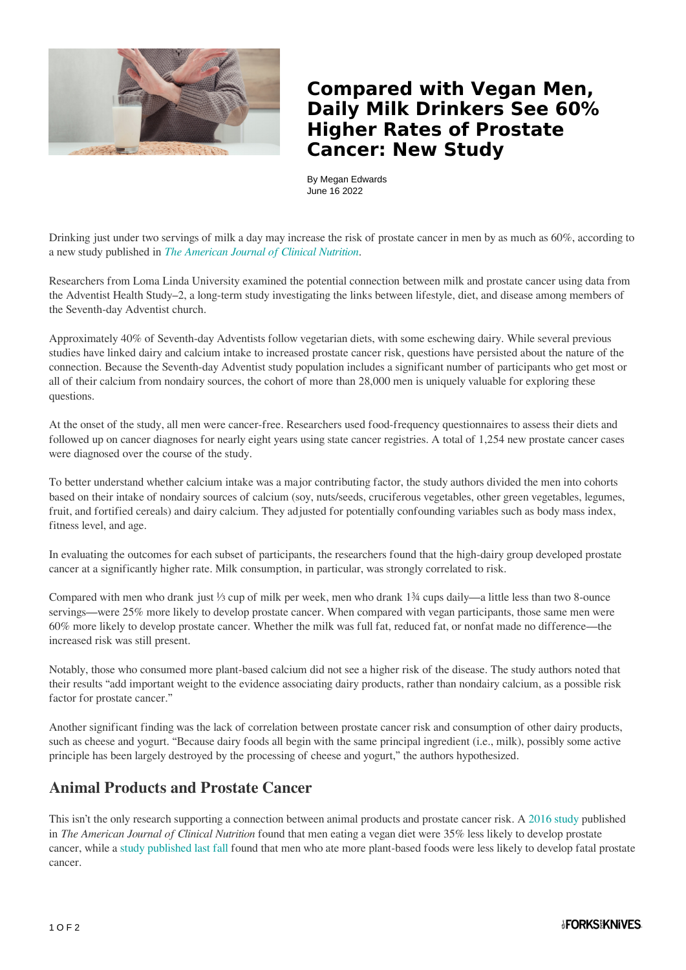

## **Compared with Vegan Men, Daily Milk Drinkers See 60% Higher Rates of Prostate Cancer: New Study**

By Megan Edwards June 16 2022

Drinking just under two servings of milk a day may increase the risk of prostate cancer in men by as much as  $60\%$ , according to a new study published in *[The American Journal of Clinical Nutrition](https://academic.oup.com/ajcn/advance-article-abstract/doi/10.1093/ajcn/nqac093/6603759?redirectedFrom=fulltext&login=false)*.

Researchers from Loma Linda University examined the potential connection between milk and prostate cancer using data from the Adventist Health Study–2, a long-term study investigating the links between lifestyle, diet, and disease among members of the Seventh-day Adventist church.

Approximately 40% of Seventh-day Adventists follow vegetarian diets, with some eschewing dairy. While several previous studies have linked dairy and calcium intake to increased prostate cancer risk, questions have persisted about the nature of the connection. Because the Seventh-day Adventist study population includes a significant number of participants who get most or all of their calcium from nondairy sources, the cohort of more than 28,000 men is uniquely valuable for exploring these questions.

At the onset of the study, all men were cancer-free. Researchers used food-frequency questionnaires to assess their diets and followed up on cancer diagnoses for nearly eight years using state cancer registries. A total of 1,254 new prostate cancer cases were diagnosed over the course of the study.

To better understand whether calcium intake was a major contributing factor, the study authors divided the men into cohorts based on their intake of nondairy sources of calcium (soy, nuts/seeds, cruciferous vegetables, other green vegetables, legumes, fruit, and fortified cereals) and dairy calcium. They adjusted for potentially confounding variables such as body mass index, fitness level, and age.

In evaluating the outcomes for each subset of participants, the researchers found that the high-dairy group developed prostate cancer at a significantly higher rate. Milk consumption, in particular, was strongly correlated to risk.

Compared with men who drank just ⅓ cup of milk per week, men who drank 1¾ cups daily—a little less than two 8-ounce servings—were 25% more likely to develop prostate cancer. When compared with vegan participants, those same men were 60% more likely to develop prostate cancer. Whether the milk was full fat, reduced fat, or nonfat made no difference—the increased risk was still present.

Notably, those who consumed more plant-based calcium did not see a higher risk of the disease. The study authors noted that their results "add important weight to the evidence associating dairy products, rather than nondairy calcium, as a possible risk factor for prostate cancer."

Another significant finding was the lack of correlation between prostate cancer risk and consumption of other dairy products, such as cheese and yogurt. "Because dairy foods all begin with the same principal ingredient (i.e., milk), possibly some active principle has been largely destroyed by the processing of cheese and yogurt," the authors hypothesized.

## **Animal Products and Prostate Cancer**

This isn't the only research supporting a connection between animal products and prostate cancer risk. A [2016 study p](https://www.ncbi.nlm.nih.gov/pmc/articles/PMC4691666/)ublished in *The American Journal of Clinical Nutrition* found that men eating a vegan diet were 35% less likely to develop prostate cancer, while a [study published last fall](https://www.forksoverknives.com/wellness/prostate-cancer-new-study-plant-based-diet/) found that men who ate more plant-based foods were less likely to develop fatal prostate cancer.